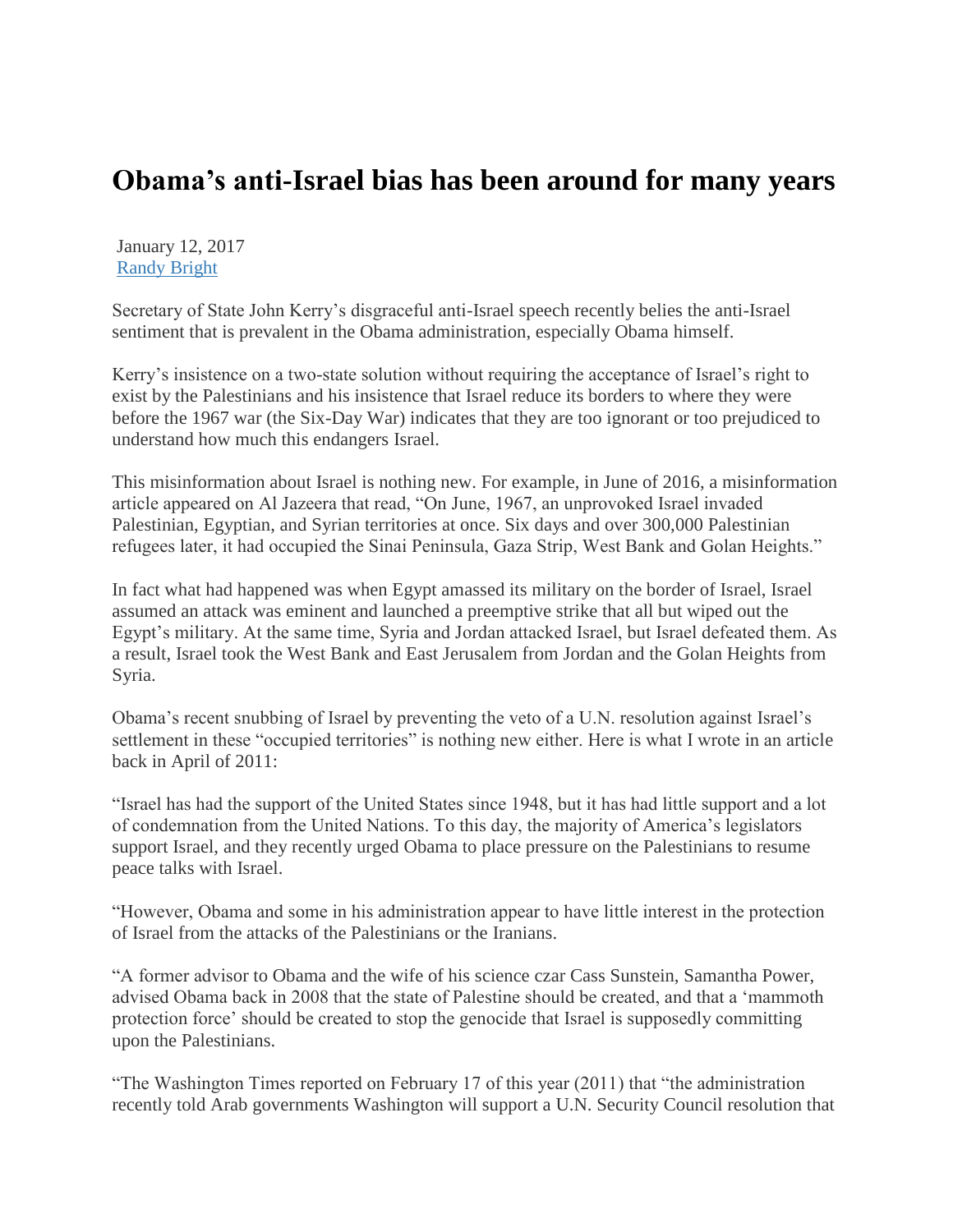## **Obama's anti-Israel bias has been around for many years**

January 12, 2017 [Randy Bright](http://tulsabeacon.com/author/randy-bright/)

Secretary of State John Kerry"s disgraceful anti-Israel speech recently belies the anti-Israel sentiment that is prevalent in the Obama administration, especially Obama himself.

Kerry"s insistence on a two-state solution without requiring the acceptance of Israel"s right to exist by the Palestinians and his insistence that Israel reduce its borders to where they were before the 1967 war (the Six-Day War) indicates that they are too ignorant or too prejudiced to understand how much this endangers Israel.

This misinformation about Israel is nothing new. For example, in June of 2016, a misinformation article appeared on Al Jazeera that read, "On June, 1967, an unprovoked Israel invaded Palestinian, Egyptian, and Syrian territories at once. Six days and over 300,000 Palestinian refugees later, it had occupied the Sinai Peninsula, Gaza Strip, West Bank and Golan Heights."

In fact what had happened was when Egypt amassed its military on the border of Israel, Israel assumed an attack was eminent and launched a preemptive strike that all but wiped out the Egypt"s military. At the same time, Syria and Jordan attacked Israel, but Israel defeated them. As a result, Israel took the West Bank and East Jerusalem from Jordan and the Golan Heights from Syria.

Obama"s recent snubbing of Israel by preventing the veto of a U.N. resolution against Israel"s settlement in these "occupied territories" is nothing new either. Here is what I wrote in an article back in April of 2011:

"Israel has had the support of the United States since 1948, but it has had little support and a lot of condemnation from the United Nations. To this day, the majority of America"s legislators support Israel, and they recently urged Obama to place pressure on the Palestinians to resume peace talks with Israel.

"However, Obama and some in his administration appear to have little interest in the protection of Israel from the attacks of the Palestinians or the Iranians.

"A former advisor to Obama and the wife of his science czar Cass Sunstein, Samantha Power, advised Obama back in 2008 that the state of Palestine should be created, and that a "mammoth protection force" should be created to stop the genocide that Israel is supposedly committing upon the Palestinians.

"The Washington Times reported on February 17 of this year (2011) that "the administration recently told Arab governments Washington will support a U.N. Security Council resolution that